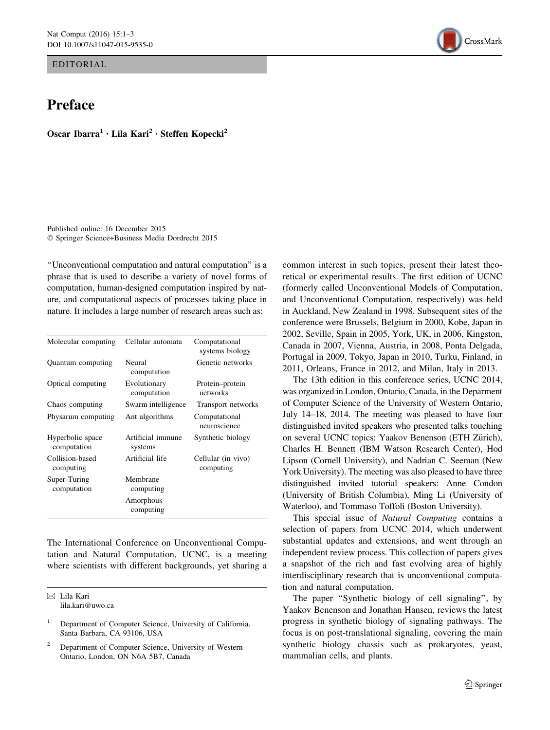EDITORIAL

## Preface

Oscar Ibarra<sup>1</sup> · Lila Kari<sup>2</sup> · Steffen Kopecki<sup>2</sup>

Published online: 16 December 2015 - Springer Science+Business Media Dordrecht 2015

''Unconventional computation and natural computation'' is a phrase that is used to describe a variety of novel forms of computation, human-designed computation inspired by nature, and computational aspects of processes taking place in nature. It includes a large number of research areas such as:

| Molecular computing             | Cellular automata            | Computational<br>systems biology |
|---------------------------------|------------------------------|----------------------------------|
| Quantum computing               | Neural<br>computation        | Genetic networks                 |
| Optical computing               | Evolutionary<br>computation  | Protein–protein<br>networks      |
| Chaos computing                 | Swarm intelligence           | Transport networks               |
| Physarum computing              | Ant algorithms               | Computational<br>neuroscience    |
| Hyperbolic space<br>computation | Artificial immune<br>systems | Synthetic biology                |
| Collision-based<br>computing    | Artificial life              | Cellular (in vivo)<br>computing  |
| Super-Turing<br>computation     | Membrane<br>computing        |                                  |
|                                 | Amorphous<br>computing       |                                  |

The International Conference on Unconventional Computation and Natural Computation, UCNC, is a meeting where scientists with different backgrounds, yet sharing a

 $\boxtimes$  Lila Kari lila.kari@uwo.ca

<sup>2</sup> Department of Computer Science, University of Western Ontario, London, ON N6A 5B7, Canada



The 13th edition in this conference series, UCNC 2014, was organized in London, Ontario, Canada, in the Deparment of Computer Science of the University of Western Ontario, July 14–18, 2014. The meeting was pleased to have four distinguished invited speakers who presented talks touching on several UCNC topics: Yaakov Benenson (ETH Zürich), Charles H. Bennett (IBM Watson Research Center), Hod Lipson (Cornell University), and Nadrian C. Seeman (New York University). The meeting was also pleased to have three distinguished invited tutorial speakers: Anne Condon (University of British Columbia), Ming Li (University of Waterloo), and Tommaso Toffoli (Boston University).

This special issue of Natural Computing contains a selection of papers from UCNC 2014, which underwent substantial updates and extensions, and went through an independent review process. This collection of papers gives a snapshot of the rich and fast evolving area of highly interdisciplinary research that is unconventional computation and natural computation.

The paper "Synthetic biology of cell signaling", by Yaakov Benenson and Jonathan Hansen, reviews the latest progress in synthetic biology of signaling pathways. The focus is on post-translational signaling, covering the main synthetic biology chassis such as prokaryotes, yeast, mammalian cells, and plants.



<sup>1</sup> Department of Computer Science, University of California, Santa Barbara, CA 93106, USA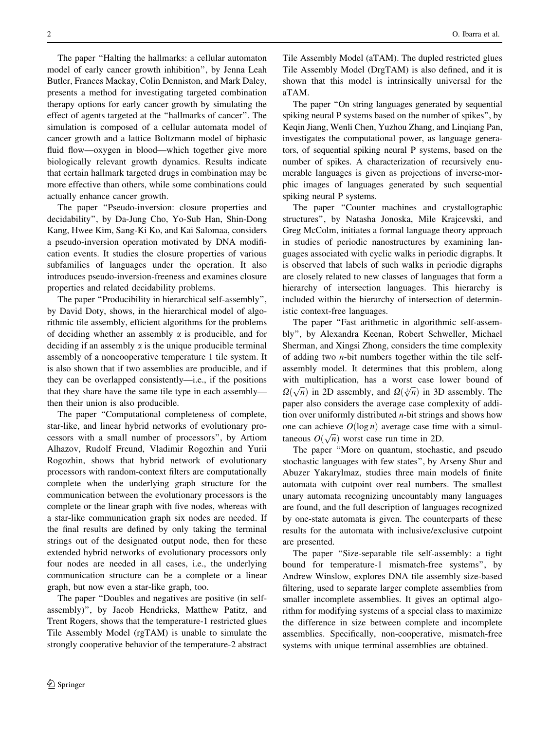The paper ''Halting the hallmarks: a cellular automaton model of early cancer growth inhibition'', by Jenna Leah Butler, Frances Mackay, Colin Denniston, and Mark Daley, presents a method for investigating targeted combination therapy options for early cancer growth by simulating the effect of agents targeted at the ''hallmarks of cancer''. The simulation is composed of a cellular automata model of cancer growth and a lattice Boltzmann model of biphasic fluid flow—oxygen in blood—which together give more biologically relevant growth dynamics. Results indicate that certain hallmark targeted drugs in combination may be more effective than others, while some combinations could actually enhance cancer growth.

The paper ''Pseudo-inversion: closure properties and decidability'', by Da-Jung Cho, Yo-Sub Han, Shin-Dong Kang, Hwee Kim, Sang-Ki Ko, and Kai Salomaa, considers a pseudo-inversion operation motivated by DNA modification events. It studies the closure properties of various subfamilies of languages under the operation. It also introduces pseudo-inversion-freeness and examines closure properties and related decidability problems.

The paper ''Producibility in hierarchical self-assembly'', by David Doty, shows, in the hierarchical model of algorithmic tile assembly, efficient algorithms for the problems of deciding whether an assembly  $\alpha$  is producible, and for deciding if an assembly  $\alpha$  is the unique producible terminal assembly of a noncooperative temperature 1 tile system. It is also shown that if two assemblies are producible, and if they can be overlapped consistently—i.e., if the positions that they share have the same tile type in each assembly then their union is also producible.

The paper ''Computational completeness of complete, star-like, and linear hybrid networks of evolutionary processors with a small number of processors'', by Artiom Alhazov, Rudolf Freund, Vladimir Rogozhin and Yurii Rogozhin, shows that hybrid network of evolutionary processors with random-context filters are computationally complete when the underlying graph structure for the communication between the evolutionary processors is the complete or the linear graph with five nodes, whereas with a star-like communication graph six nodes are needed. If the final results are defined by only taking the terminal strings out of the designated output node, then for these extended hybrid networks of evolutionary processors only four nodes are needed in all cases, i.e., the underlying communication structure can be a complete or a linear graph, but now even a star-like graph, too.

The paper ''Doubles and negatives are positive (in selfassembly)'', by Jacob Hendricks, Matthew Patitz, and Trent Rogers, shows that the temperature-1 restricted glues Tile Assembly Model (rgTAM) is unable to simulate the strongly cooperative behavior of the temperature-2 abstract

Tile Assembly Model (aTAM). The dupled restricted glues Tile Assembly Model (DrgTAM) is also defined, and it is shown that this model is intrinsically universal for the aTAM.

The paper ''On string languages generated by sequential spiking neural P systems based on the number of spikes'', by Keqin Jiang, Wenli Chen, Yuzhou Zhang, and Linqiang Pan, investigates the computational power, as language generators, of sequential spiking neural P systems, based on the number of spikes. A characterization of recursively enumerable languages is given as projections of inverse-morphic images of languages generated by such sequential spiking neural P systems.

The paper "Counter machines and crystallographic structures'', by Natasha Jonoska, Mile Krajcevski, and Greg McColm, initiates a formal language theory approach in studies of periodic nanostructures by examining languages associated with cyclic walks in periodic digraphs. It is observed that labels of such walks in periodic digraphs are closely related to new classes of languages that form a hierarchy of intersection languages. This hierarchy is included within the hierarchy of intersection of deterministic context-free languages.

The paper "Fast arithmetic in algorithmic self-assembly'', by Alexandra Keenan, Robert Schweller, Michael Sherman, and Xingsi Zhong, considers the time complexity of adding two n-bit numbers together within the tile selfassembly model. It determines that this problem, along with multiplication, has a worst case lower bound of  $\Omega(\sqrt{n})$  in 2D assembly, and  $\Omega(\sqrt[3]{n})$  in 3D assembly. The paper also considers the average case complexity of addition over uniformly distributed  $n$ -bit strings and shows how one can achieve  $O(\log n)$  average case time with a simultaneous  $O(\sqrt{n})$  worst case run time in 2D.

The paper ''More on quantum, stochastic, and pseudo stochastic languages with few states'', by Arseny Shur and Abuzer Yakarylmaz, studies three main models of finite automata with cutpoint over real numbers. The smallest unary automata recognizing uncountably many languages are found, and the full description of languages recognized by one-state automata is given. The counterparts of these results for the automata with inclusive/exclusive cutpoint are presented.

The paper "Size-separable tile self-assembly: a tight bound for temperature-1 mismatch-free systems'', by Andrew Winslow, explores DNA tile assembly size-based filtering, used to separate larger complete assemblies from smaller incomplete assemblies. It gives an optimal algorithm for modifying systems of a special class to maximize the difference in size between complete and incomplete assemblies. Specifically, non-cooperative, mismatch-free systems with unique terminal assemblies are obtained.